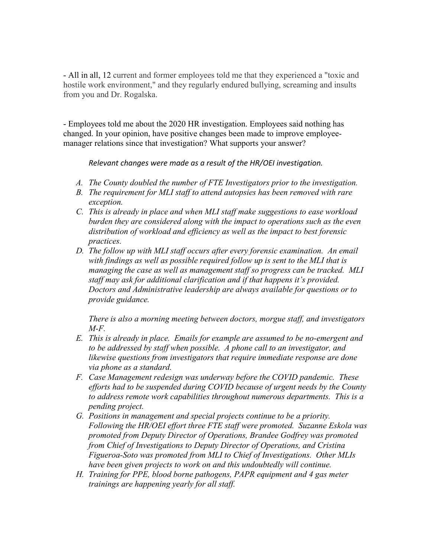- All in all, 12 current and former employees told me that they experienced a "toxic and hostile work environment," and they regularly endured bullying, screaming and insults from you and Dr. Rogalska.

- Employees told me about the 2020 HR investigation. Employees said nothing has changed. In your opinion, have positive changes been made to improve employeemanager relations since that investigation? What supports your answer?

*Relevant changes were made as a result of the HR/OEI investigation.* 

- *A. The County doubled the number of FTE Investigators prior to the investigation.*
- *B. The requirement for MLI staff to attend autopsies has been removed with rare exception.*
- *C. This is already in place and when MLI staff make suggestions to ease workload burden they are considered along with the impact to operations such as the even distribution of workload and efficiency as well as the impact to best forensic practices.*
- *D. The follow up with MLI staff occurs after every forensic examination. An email with findings as well as possible required follow up is sent to the MLI that is managing the case as well as management staff so progress can be tracked. MLI staff may ask for additional clarification and if that happens it's provided. Doctors and Administrative leadership are always available for questions or to provide guidance.*

*There is also a morning meeting between doctors, morgue staff, and investigators M-F.*

- *E. This is already in place. Emails for example are assumed to be no-emergent and to be addressed by staff when possible. A phone call to an investigator, and likewise questions from investigators that require immediate response are done via phone as a standard.*
- *F. Case Management redesign was underway before the COVID pandemic. These efforts had to be suspended during COVID because of urgent needs by the County to address remote work capabilities throughout numerous departments. This is a pending project.*
- *G. Positions in management and special projects continue to be a priority. Following the HR/OEI effort three FTE staff were promoted. Suzanne Eskola was promoted from Deputy Director of Operations, Brandee Godfrey was promoted from Chief of Investigations to Deputy Director of Operations, and Cristina Figueroa-Soto was promoted from MLI to Chief of Investigations. Other MLIs have been given projects to work on and this undoubtedly will continue.*
- *H. Training for PPE, blood borne pathogens, PAPR equipment and 4 gas meter trainings are happening yearly for all staff.*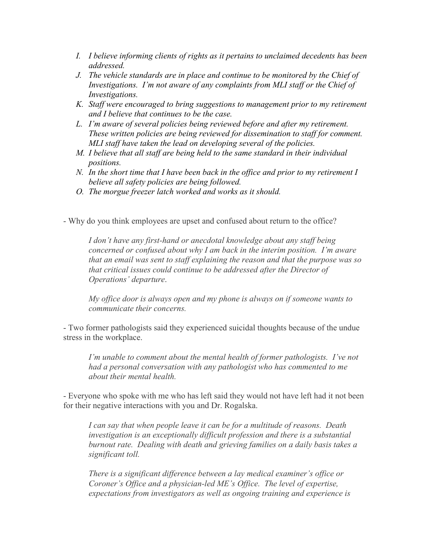- *I. I believe informing clients of rights as it pertains to unclaimed decedents has been addressed.*
- *J. The vehicle standards are in place and continue to be monitored by the Chief of Investigations. I'm not aware of any complaints from MLI staff or the Chief of Investigations.*
- *K. Staff were encouraged to bring suggestions to management prior to my retirement and I believe that continues to be the case.*
- *L. I'm aware of several policies being reviewed before and after my retirement. These written policies are being reviewed for dissemination to staff for comment. MLI staff have taken the lead on developing several of the policies.*
- *M. I believe that all staff are being held to the same standard in their individual positions.*
- *N. In the short time that I have been back in the office and prior to my retirement I believe all safety policies are being followed.*
- *O. The morgue freezer latch worked and works as it should.*

- Why do you think employees are upset and confused about return to the office?

*I don't have any first-hand or anecdotal knowledge about any staff being concerned or confused about why I am back in the interim position. I'm aware that an email was sent to staff explaining the reason and that the purpose was so that critical issues could continue to be addressed after the Director of Operations' departure*.

*My office door is always open and my phone is always on if someone wants to communicate their concerns.* 

- Two former pathologists said they experienced suicidal thoughts because of the undue stress in the workplace.

*I'm unable to comment about the mental health of former pathologists. I've not had a personal conversation with any pathologist who has commented to me about their mental health.*

- Everyone who spoke with me who has left said they would not have left had it not been for their negative interactions with you and Dr. Rogalska.

*I can say that when people leave it can be for a multitude of reasons. Death investigation is an exceptionally difficult profession and there is a substantial burnout rate. Dealing with death and grieving families on a daily basis takes a significant toll.*

*There is a significant difference between a lay medical examiner's office or Coroner's Office and a physician-led ME's Office. The level of expertise, expectations from investigators as well as ongoing training and experience is*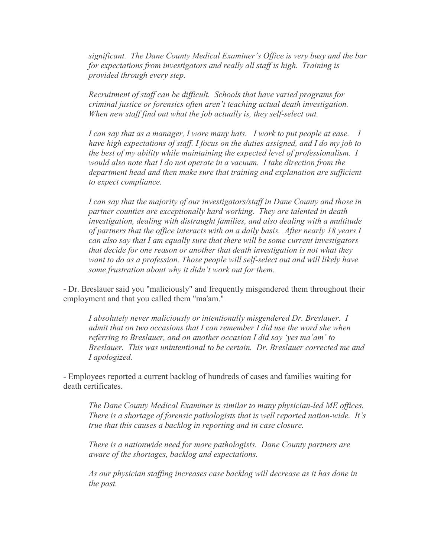*significant. The Dane County Medical Examiner's Office is very busy and the bar for expectations from investigators and really all staff is high. Training is provided through every step.* 

*Recruitment of staff can be difficult. Schools that have varied programs for criminal justice or forensics often aren't teaching actual death investigation. When new staff find out what the job actually is, they self-select out.* 

*I can say that as a manager, I wore many hats. I work to put people at ease. I have high expectations of staff. I focus on the duties assigned, and I do my job to the best of my ability while maintaining the expected level of professionalism. I would also note that I do not operate in a vacuum. I take direction from the*  department head and then make sure that training and explanation are sufficient *to expect compliance.* 

*I can say that the majority of our investigators/staff in Dane County and those in partner counties are exceptionally hard working. They are talented in death investigation, dealing with distraught families, and also dealing with a multitude of partners that the office interacts with on a daily basis. After nearly 18 years I can also say that I am equally sure that there will be some current investigators that decide for one reason or another that death investigation is not what they want to do as a profession. Those people will self-select out and will likely have some frustration about why it didn't work out for them.* 

- Dr. Breslauer said you "maliciously" and frequently misgendered them throughout their employment and that you called them "ma'am."

*I absolutely never maliciously or intentionally misgendered Dr. Breslauer. I admit that on two occasions that I can remember I did use the word she when referring to Breslauer, and on another occasion I did say 'yes ma'am' to Breslauer. This was unintentional to be certain. Dr. Breslauer corrected me and I apologized.* 

- Employees reported a current backlog of hundreds of cases and families waiting for death certificates.

*The Dane County Medical Examiner is similar to many physician-led ME offices. There is a shortage of forensic pathologists that is well reported nation-wide. It's true that this causes a backlog in reporting and in case closure.* 

*There is a nationwide need for more pathologists. Dane County partners are aware of the shortages, backlog and expectations.* 

*As our physician staffing increases case backlog will decrease as it has done in the past.*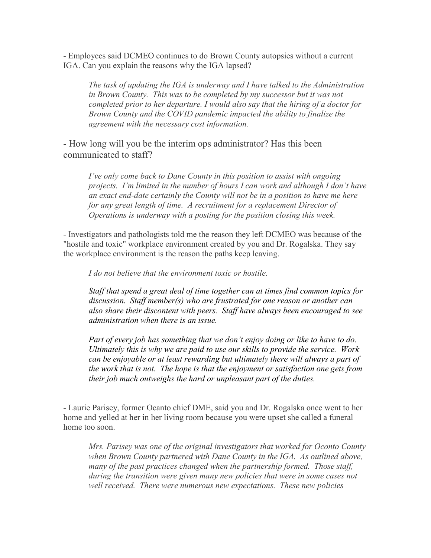- Employees said DCMEO continues to do Brown County autopsies without a current IGA. Can you explain the reasons why the IGA lapsed?

*The task of updating the IGA is underway and I have talked to the Administration in Brown County. This was to be completed by my successor but it was not completed prior to her departure. I would also say that the hiring of a doctor for Brown County and the COVID pandemic impacted the ability to finalize the agreement with the necessary cost information.* 

- How long will you be the interim ops administrator? Has this been communicated to staff?

*I've only come back to Dane County in this position to assist with ongoing projects. I'm limited in the number of hours I can work and although I don't have an exact end-date certainly the County will not be in a position to have me here for any great length of time. A recruitment for a replacement Director of Operations is underway with a posting for the position closing this week.* 

- Investigators and pathologists told me the reason they left DCMEO was because of the "hostile and toxic" workplace environment created by you and Dr. Rogalska. They say the workplace environment is the reason the paths keep leaving.

*I do not believe that the environment toxic or hostile.* 

*Staff that spend a great deal of time together can at times find common topics for discussion. Staff member(s) who are frustrated for one reason or another can also share their discontent with peers. Staff have always been encouraged to see administration when there is an issue.*

*Part of every job has something that we don't enjoy doing or like to have to do. Ultimately this is why we are paid to use our skills to provide the service. Work can be enjoyable or at least rewarding but ultimately there will always a part of the work that is not. The hope is that the enjoyment or satisfaction one gets from their job much outweighs the hard or unpleasant part of the duties.* 

- Laurie Parisey, former Ocanto chief DME, said you and Dr. Rogalska once went to her home and yelled at her in her living room because you were upset she called a funeral home too soon.

*Mrs. Parisey was one of the original investigators that worked for Oconto County when Brown County partnered with Dane County in the IGA. As outlined above, many of the past practices changed when the partnership formed. Those staff, during the transition were given many new policies that were in some cases not well received. There were numerous new expectations. These new policies*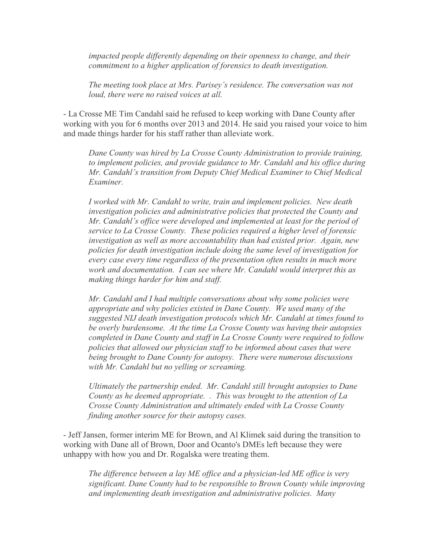*impacted people differently depending on their openness to change, and their commitment to a higher application of forensics to death investigation.*

*The meeting took place at Mrs. Parisey's residence. The conversation was not loud, there were no raised voices at all.* 

- La Crosse ME Tim Candahl said he refused to keep working with Dane County after working with you for 6 months over 2013 and 2014. He said you raised your voice to him and made things harder for his staff rather than alleviate work.

*Dane County was hired by La Crosse County Administration to provide training, to implement policies, and provide guidance to Mr. Candahl and his office during Mr. Candahl's transition from Deputy Chief Medical Examiner to Chief Medical Examiner.* 

*I worked with Mr. Candahl to write, train and implement policies. New death investigation policies and administrative policies that protected the County and Mr. Candahl's office were developed and implemented at least for the period of service to La Crosse County. These policies required a higher level of forensic investigation as well as more accountability than had existed prior. Again, new policies for death investigation include doing the same level of investigation for every case every time regardless of the presentation often results in much more work and documentation. I can see where Mr. Candahl would interpret this as making things harder for him and staff.* 

*Mr. Candahl and I had multiple conversations about why some policies were appropriate and why policies existed in Dane County. We used many of the suggested NIJ death investigation protocols which Mr. Candahl at times found to be overly burdensome. At the time La Crosse County was having their autopsies completed in Dane County and staff in La Crosse County were required to follow policies that allowed our physician staff to be informed about cases that were being brought to Dane County for autopsy. There were numerous discussions with Mr. Candahl but no yelling or screaming.* 

*Ultimately the partnership ended. Mr. Candahl still brought autopsies to Dane County as he deemed appropriate. . This was brought to the attention of La Crosse County Administration and ultimately ended with La Crosse County finding another source for their autopsy cases.* 

- Jeff Jansen, former interim ME for Brown, and Al Klimek said during the transition to working with Dane all of Brown, Door and Ocanto's DMEs left because they were unhappy with how you and Dr. Rogalska were treating them.

*The difference between a lay ME office and a physician-led ME office is very significant. Dane County had to be responsible to Brown County while improving and implementing death investigation and administrative policies. Many*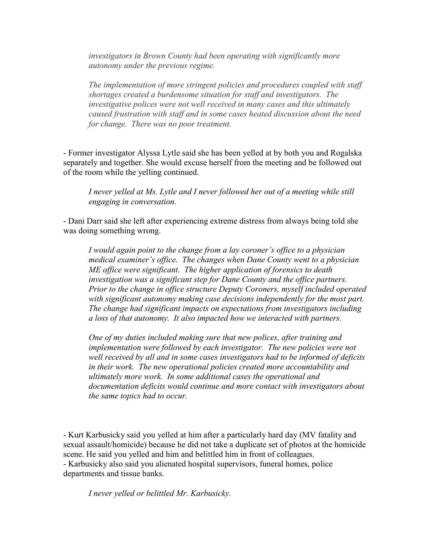*investigators in Brown County had been operating with significantly more autonomy under the previous regime.* 

*The implementation of more stringent policies and procedures coupled with staff shortages created a burdensome situation for staff and investigators. The investigative polices were not well received in many cases and this ultimately caused frustration with staff and in some cases heated discussion about the need for change. There was no poor treatment.* 

- Former investigator Alyssa Lytle said she has been yelled at by both you and Rogalska separately and together. She would excuse herself from the meeting and be followed out of the room while the yelling continued.

*I never yelled at Ms. Lytle and I never followed her out of a meeting while still engaging in conversation.* 

- Dani Darr said she left after experiencing extreme distress from always being told she was doing something wrong.

*I would again point to the change from a lay coroner's office to a physician medical examiner's office. The changes when Dane County went to a physician ME office were significant. The higher application of forensics to death investigation was a significant step for Dane County and the office partners. Prior to the change in office structure Deputy Coroners, myself included operated with significant autonomy making case decisions independently for the most part. The change had significant impacts on expectations from investigators including a loss of that autonomy. It also impacted how we interacted with partners.*

*One of my duties included making sure that new polices, after training and implementation were followed by each investigator. The new policies were not well received by all and in some cases investigators had to be informed of deficits in their work. The new operational policies created more accountability and ultimately more work. In some additional cases the operational and documentation deficits would continue and more contact with investigators about the same topics had to occur.* 

- Kurt Karbusicky said you yelled at him after a particularly hard day (MV fatality and sexual assault/homicide) because he did not take a duplicate set of photos at the homicide scene. He said you yelled and him and belittled him in front of colleagues. - Karbusicky also said you alienated hospital supervisors, funeral homes, police departments and tissue banks.

*I never yelled or belittled Mr. Karbusicky.*